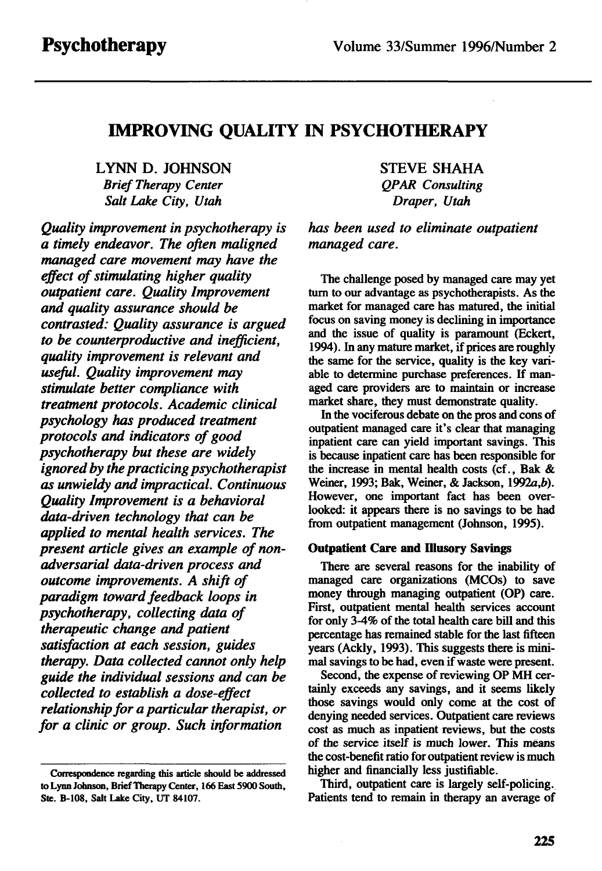# **IMPROVING QUALITY IN PSYCHOTHERAPY**

LYNN D. JOHNSON *Brief Therapy Center Salt Lake City, Utah*

*Quality improvement in psychotherapy is a timely endeavor. The often maligned managed care movement may have the effect of stimulating higher quality outpatient care. Quality Improvement and quality assurance should be contrasted: Quality assurance is argued to be counterproductive and inefficient, quality improvement is relevant and useful. Quality improvement may stimulate better compliance with treatment protocols. Academic clinical psychology has produced treatment protocols and indicators of good psychotherapy but these are widely ignored by the practicing psychotherapist as unwieldy and impractical. Continuous Quality Improvement is a behavioral data-driven technology that can be applied to mental health services. The present article gives an example of nonadversarial data-driven process and outcome improvements. A shift of paradigm toward feedback loops in psychotherapy, collecting data of therapeutic change and patient satisfaction at each session, guides therapy. Data collected cannot only help guide the individual sessions and can be collected to establish a dose-effect relationship for a particular therapist, or for a clinic or group. Such information*

STEVE SHAHA *QPAR Consulting Draper, Utah*

*has been used to eliminate outpatient managed care.*

The challenge posed by managed care may yet turn to our advantage as psychotherapists. As the market for managed care has matured, the initial focus on saving money is declining in importance and the issue of quality is paramount (Eckert, 1994). In any mature market, if prices are roughly the same for the service, quality is the key variable to determine purchase preferences. If managed care providers are to maintain or increase market share, they must demonstrate quality.

In the vociferous debate on the pros and cons of outpatient managed care it's clear that managing inpatient care can yield important savings. This is because inpatient care has been responsible for the increase in mental health costs (cf., Bak & Weiner, 1993; Bak, Weiner, & Jackson, *I992a,b).* However, one important fact has been overlooked: it appears there is no savings to be had from outpatient management (Johnson, 1995).

### **Outpatient Care and Illusory Savings**

There are several reasons for the inability of managed care organizations (MCOs) to save money through managing outpatient (OP) care. First, outpatient mental health services account for only 3-4% of the total health care bill and this percentage has remained stable for the last fifteen years (Ackly, 1993). This suggests there is minimal savings to be had, even if waste were present.

Second, the expense of reviewing OP MH certainly exceeds any savings, and it seems likely those savings would only come at the cost of denying needed services. Outpatient care reviews cost as much as inpatient reviews, but the costs of the service itself is much lower. This means the cost-benefit ratio for outpatient review is much higher and financially less justifiable.

Third, outpatient care is largely self-policing. Patients tend to remain in therapy an average of

**Correspondence regarding this article should be addressed to Lynn Johnson, BriefTherapy Center, 166 East 5900 South, Ste. B-108, Salt Lake City, UT 84107.**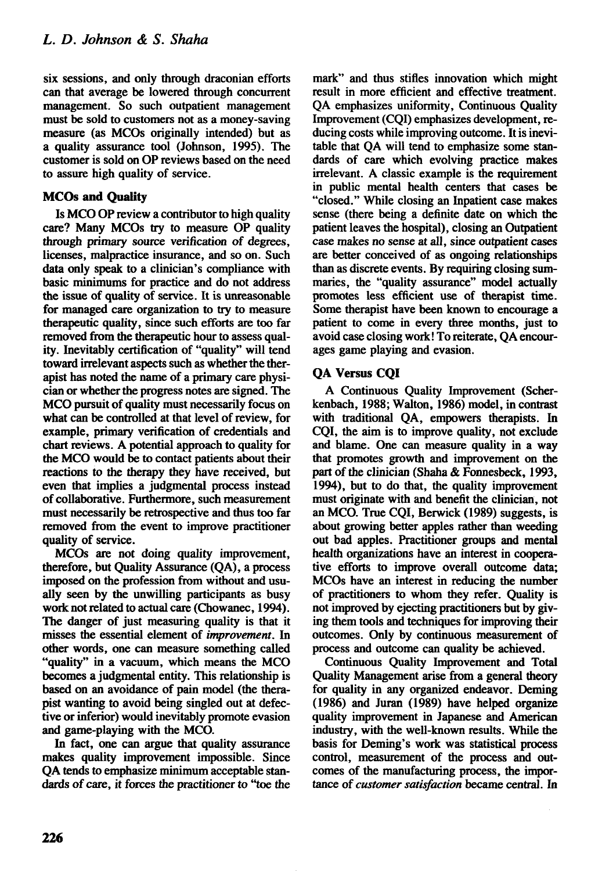six sessions, and only through draconian efforts can that average be lowered through concurrent management. So such outpatient management must be sold to customers not as a money-saving measure (as MCOs originally intended) but as a quality assurance tool (Johnson, 1995). The customer is sold on OP reviews based on the need to assure high quality of service.

# **MCOs and Quality**

Is MCO OP review a contributor to high quality care? Many MCOs try to measure OP quality through primary source verification of degrees, licenses, malpractice insurance, and so on. Such data only speak to a clinician's compliance with basic minimums for practice and do not address the issue of quality of service. It is unreasonable for managed care organization to try to measure therapeutic quality, since such efforts are too far removed from the therapeutic hour to assess quality. Inevitably certification of "quality" will tend toward irrelevant aspects such as whether the therapist has noted the name of a primary care physician or whether the progress notes are signed. The MCO pursuit of quality must necessarily focus on what can be controlled at that level of review, for example, primary verification of credentials and chart reviews. A potential approach to quality for the MCO would be to contact patients about their reactions to the therapy they have received, but even that implies a judgmental process instead of collaborative. Furthermore, such measurement must necessarily be retrospective and thus too far removed from the event to improve practitioner quality of service.

MCOs are not doing quality improvement, therefore, but Quality Assurance (QA), a process imposed on the profession from without and usually seen by the unwilling participants as busy work not related to actual care (Chowanec, 1994). The danger of just measuring quality is that it misses the essential element of *improvement.* In other words, one can measure something called "quality" in a vacuum, which means the MCO becomes a judgmental entity. This relationship is based on an avoidance of pain model (the therapist wanting to avoid being singled out at defective or inferior) would inevitably promote evasion and game-playing with the MCO.

In fact, one can argue that quality assurance makes quality improvement impossible. Since QA tends to emphasize minimum acceptable standards of care, it forces the practitioner to "toe the mark" and thus stifles innovation which might result in more efficient and effective treatment. QA emphasizes uniformity, Continuous Quality Improvement (CQI) emphasizes development, reducing costs while improving outcome. It is inevitable that QA will tend to emphasize some standards of care which evolving practice makes irrelevant. A classic example is the requirement in public mental health centers that cases be "closed." While closing an Inpatient case makes sense (there being a definite date on which the patient leaves the hospital), closing an Outpatient case makes no sense at all, since outpatient cases are better conceived of as ongoing relationships than as discrete events. By requiring closing summaries, the "quality assurance" model actually promotes less efficient use of therapist time. Some therapist have been known to encourage a patient to come in every three months, just to avoid case closing work! To reiterate, QA encourages game playing and evasion.

# QA **Versus CQI**

A Continuous Quality Improvement (Scherkenbach, 1988; Walton, 1986) model, in contrast with traditional QA, empowers therapists. In CQI, the aim is to improve quality, not exclude and blame. One can measure quality in a way that promotes growth and improvement on the part of the clinician (Shaha & Fonnesbeck, 1993, 1994), but to do that, the quality improvement must originate with and benefit the clinician, not an MCO. True CQI, Berwick (1989) suggests, is about growing better apples rather than weeding out bad apples. Practitioner groups and mental health organizations have an interest in cooperative efforts to improve overall outcome data; MCOs have an interest in reducing the number of practitioners to whom they refer. Quality is not improved by ejecting practitioners but by giving them tools and techniques for improving their outcomes. Only by continuous measurement of process and outcome can quality be achieved.

Continuous Quality Improvement and Total Quality Management arise from a general theory for quality in any organized endeavor. Deming (1986) and Juran (1989) have helped organize quality improvement in Japanese and American industry, with the well-known results. While the basis for Deming's work was statistical process control, measurement of the process and outcomes of the manufacturing process, the importance of *customer satisfaction* became central. In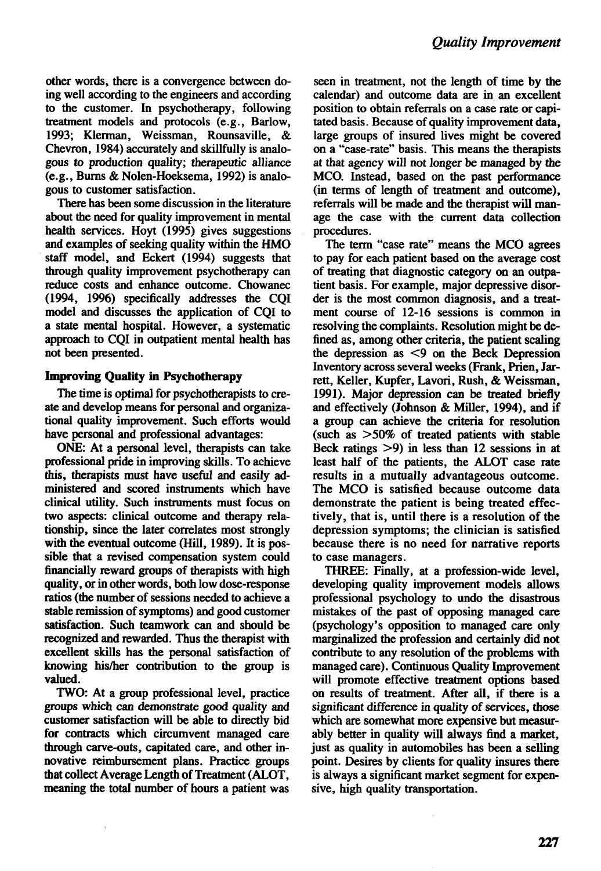other words, there is a convergence between doing well according to the engineers and according to the customer. In psychotherapy, following treatment models and protocols (e.g., Barlow, 1993; Klerman, Weissman, Rounsaville, & Chevron, 1984) accurately and skillfully is analogous to production quality; therapeutic alliance (e.g., Burns & Nolen-Hoeksema, 1992) is analogous to customer satisfaction.

There has been some discussion in the literature about the need for quality improvement in mental health services. Hoyt (1995) gives suggestions and examples of seeking quality within the HMO staff model, and Eckert (1994) suggests that through quality improvement psychotherapy can reduce costs and enhance outcome. Chowanec (1994, 1996) specifically addresses the CQI model and discusses the application of CQI to a state mental hospital. However, a systematic approach to CQI in outpatient mental health has not been presented.

### **Improving Quality in Psychotherapy**

The time is optimal for psychotherapists to create and develop means for personal and organizational quality improvement. Such efforts would have personal and professional advantages:

ONE: At a personal level, therapists can take professional pride in improving skills. To achieve this, therapists must have useful and easily administered and scored instruments which have clinical utility. Such instruments must focus on two aspects: clinical outcome and therapy relationship, since the later correlates most strongly with the eventual outcome (Hill, 1989). It is possible that a revised compensation system could financially reward groups of therapists with high quality, or in other words, both low dose-response ratios (the number of sessions needed to achieve a stable remission of symptoms) and good customer satisfaction. Such teamwork can and should be recognized and rewarded. Thus the therapist with excellent skills has the personal satisfaction of knowing his/her contribution to the group is valued.

TWO: At a group professional level, practice groups which can demonstrate good quality and customer satisfaction will be able to directly bid for contracts which circumvent managed care through carve-outs, capitated care, and other innovative reimbursement plans. Practice groups that collect Average Length of Treatment (ALOT, meaning the total number of hours a patient was

seen in treatment, not the length of time by the calendar) and outcome data are in an excellent position to obtain referrals on a case rate or capitated basis. Because of quality improvement data, large groups of insured lives might be covered on a "case-rate" basis. This means the therapists at that agency will not longer be managed by the MCO. Instead, based on the past performance (in terms of length of treatment and outcome), referrals will be made and the therapist will manage the case with the current data collection procedures.

The term "case rate" means the MCO agrees to pay for each patient based on the average cost of treating that diagnostic category on an outpatient basis. For example, major depressive disorder is the most common diagnosis, and a treatment course of 12-16 sessions is common in resolving the complaints. Resolution might be defined as, among other criteria, the patient scaling the depression as  $\leq$ 9 on the Beck Depression Inventory across several weeks (Frank, Prien, Jarrett, Keller, Kupfer, Lavori, Rush, & Weissman, 1991). Major depression can be treated briefly and effectively (Johnson & Miller, 1994), and if a group can achieve the criteria for resolution (such as >50% of treated patients with stable Beck ratings >9) in less than 12 sessions in at least half of the patients, the ALOT case rate results in a mutually advantageous outcome. The MCO is satisfied because outcome data demonstrate the patient is being treated effectively, that is, until there is a resolution of the depression symptoms; the clinician is satisfied because there is no need for narrative reports to case managers.

THREE: Finally, at a profession-wide level, developing quality improvement models allows professional psychology to undo the disastrous mistakes of the past of opposing managed care (psychology's opposition to managed care only marginalized the profession and certainly did not contribute to any resolution of the problems with managed care). Continuous Quality Improvement will promote effective treatment options based on results of treatment. After all, if there is a significant difference in quality of services, those which are somewhat more expensive but measurably better in quality will always find a market, just as quality in automobiles has been a selling point. Desires by clients for quality insures there is always a significant market segment for expensive, high quality transportation.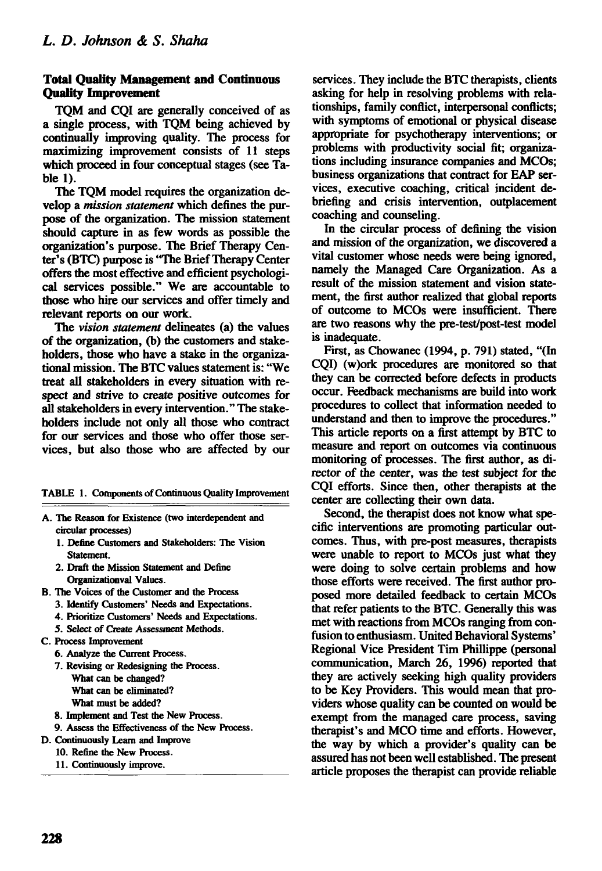## **Total Quality Management and Continuous Quality Improvement**

TQM and CQI are generally conceived of as a single process, with TQM being achieved by continually improving quality. The process for maximizing improvement consists of 11 steps which proceed in four conceptual stages (see Table 1).

The TQM model requires the organization develop a *mission statement* which defines the purpose of the organization. The mission statement should capture in as few words as possible the organization's purpose. The Brief Therapy Center's (BTC) purpose is "The Brief Therapy Center offers the most effective and efficient psychological services possible." We are accountable to those who hire our services and offer timely and relevant reports on our work.

The *vision statement* delineates (a) the values of the organization, (b) the customers and stakeholders, those who have a stake in the organizational mission. The BTC values statement is: "We treat all stakeholders in every situation with respect and strive *to* create positive outcomes for all stakeholders in every intervention." The stakeholders include not only all those who contract for our services and those who offer those services, but also those who are affected by our

**TABLE 1. Components of Continuous Quality Improvement**

- **A. The Reason for Existence (two interdependent and circular processes)**
	- **1. Define Customers and Stakeholders: The Vision Statement.**
	- **2. Draft the Mission Statement and Define Organizationval Values.**
- **B. The Voices of the Customer and the Process**
	- **3. Identify Customers' Needs and Expectations.**
	- **4. Prioritize Customers' Needs and Expectations.**
	- **5. Select of Create Assessment Methods.**
- **C. Process Improvement**
	- **6. Analyze the Current Process.**
	- **7. Revising or Redesigning the Process. What can be changed? What can be eliminated? What must be added?**
	- **8. Implement and Test the New Process.**
	- **9. Assess the Effectiveness of the New Process.**
- **D. Continuously Learn and Improve**
	- **10. Refine the New Process.**
	- **11. Continuously improve.**

services. They include the BTC therapists, clients asking for help in resolving problems with relationships, family conflict, interpersonal conflicts; with symptoms of emotional or physical disease appropriate for psychotherapy interventions; or problems with productivity social fit; organizations including insurance companies and MCOs; business organizations that contract for EAP services, executive coaching, critical incident debriefing and crisis intervention, outplacement coaching and counseling.

In the circular process of defining the vision and mission of the organization, we discovered a vital customer whose needs were being ignored, namely the Managed Care Organization. As a result of the mission statement and vision statement, the first author realized that global reports of outcome to MCOs were insufficient. There are two reasons why the pre-test/post-test model is inadequate.

First, as Chowanec (1994, p. 791) stated, "(In CQI) (w)ork procedures are monitored so that they can be corrected before defects in products occur. Feedback mechanisms are build into work procedures to collect that information needed to understand and then to improve the procedures." This article reports on a first attempt by BTC to measure and report on outcomes via continuous monitoring of processes. The first author, as director of the center, was the test subject for the CQI efforts. Since then, other therapists at the center are collecting their own data.

Second, the therapist does not know what specific interventions are promoting particular outcomes. Thus, with pre-post measures, therapists were unable to report to MCOs just what they were doing to solve certain problems and how those efforts were received. The first author proposed more detailed feedback to certain MCOs that refer patients to the BTC. Generally this was met with reactions from MCOs ranging from confusion to enthusiasm. United Behavioral Systems' Regional Vice President Tim Phillippe (personal communication, March 26, 1996) reported that they are actively seeking high quality providers to be Key Providers. This would mean that providers whose quality can be counted on would be exempt from the managed care process, saving therapist's and MCO time and efforts. However, the way by which a provider's quality can be assured has not been well established. The present article proposes the therapist can provide reliable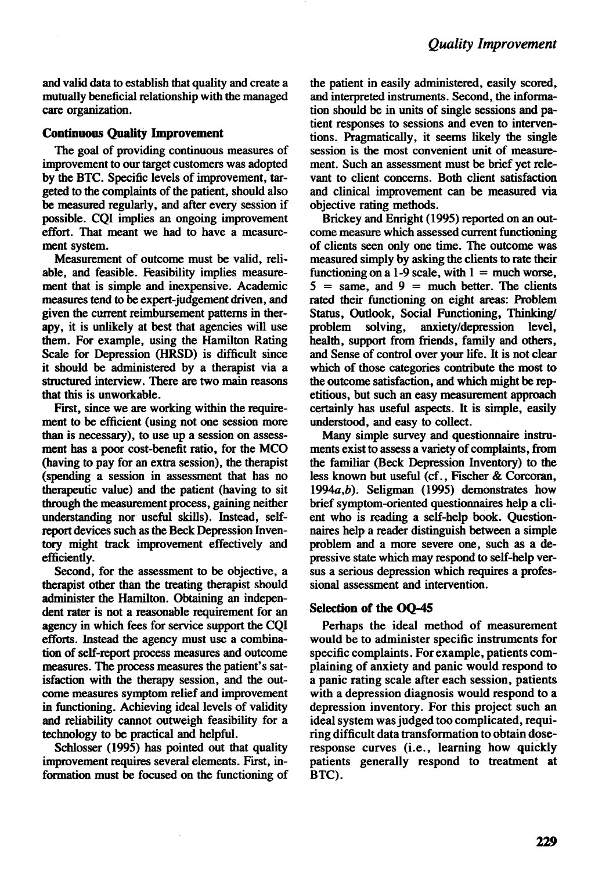and valid data to establish that quality and create a mutually beneficial relationship with the managed care organization.

### **Continuous Quality Improvement**

The goal of providing continuous measures of improvement to our target customers was adopted by the BTC. Specific levels of improvement, targeted to the complaints of the patient, should also be measured regularly, and after every session if possible. CQI implies an ongoing improvement effort. That meant we had to have a measurement system.

Measurement of outcome must be valid, reliable, and feasible. Feasibility implies measurement that is simple and inexpensive. Academic measures tend to be expert-judgement driven, and given the current reimbursement patterns in therapy, it is unlikely at best that agencies will use them. For example, using the Hamilton Rating Scale for Depression (HRSD) is difficult since it should be administered by a therapist via a structured interview. There are two main reasons that this is unworkable.

First, since we are working within the requirement to be efficient (using not one session more than is necessary), to use up a session on assessment has a poor cost-benefit ratio, for the MCO (having to pay for an extra session), the therapist (spending a session in assessment that has no therapeutic value) and the patient (having to sit through the measurement process, gaining neither understanding nor useful skills). Instead, selfreport devices such as the Beck Depression Inventory might track improvement effectively and efficiently.

Second, for the assessment to be objective, a therapist other than the treating therapist should administer the Hamilton. Obtaining an independent rater is not a reasonable requirement for an agency in which fees for service support the CQI efforts. Instead the agency must use a combination of self-report process measures and outcome measures. The process measures the patient's satisfaction with the therapy session, and the outcome measures symptom relief and improvement in functioning. Achieving ideal levels of validity and reliability cannot outweigh feasibility for a technology to be practical and helpful.

Schlosser (199S) has pointed out that quality improvement requires several elements. First, information must be focused on the functioning of the patient in easily administered, easily scored, and interpreted instruments. Second, the information should be in units of single sessions and patient responses to sessions and even to interventions. Pragmatically, it seems likely the single session is the most convenient unit of measurement. Such an assessment must be brief yet relevant to client concerns. Both client satisfaction and clinical improvement can be measured via objective rating methods.

Brickey and Enright (1995) reported on an outcome measure which assessed current functioning of clients seen only one time. The outcome was measured simply by asking the clients to rate their functioning on a 1-9 scale, with  $1 =$  much worse,  $5 =$  same, and  $9 =$  much better. The clients rated their functioning on eight areas: Problem Status, Outlook, Social Functioning, Thinking/ problem solving, anxiety/depression level, health, support from friends, family and others, and Sense of control over your life. It is not clear which of those categories contribute the most to the outcome satisfaction, and which might be repetitious, but such an easy measurement approach certainly has useful aspects. It is simple, easily understood, and easy to collect.

Many simple survey and questionnaire instruments exist to assess a variety of complaints, from the familiar (Beck Depression Inventory) to the less known but useful (cf., Fischer & Corcoran, 1994 $a,b$ ). Seligman (1995) demonstrates how brief symptom-oriented questionnaires help a client who is reading a self-help book. Questionnaires help a reader distinguish between a simple problem and a more severe one, such as a depressive state which may respond to self-help versus a serious depression which requires a professional assessment and intervention.

### **Selection of the OQ-45**

Perhaps the ideal method of measurement would be to administer specific instruments for specific complaints. For example, patients complaining of anxiety and panic would respond to a panic rating scale after each session, patients with a depression diagnosis would respond to a depression inventory. For this project such an ideal system was judged too complicated, requiring difficult data transformation to obtain doseresponse curves (i.e., learning how quickly patients generally respond to treatment at BTC).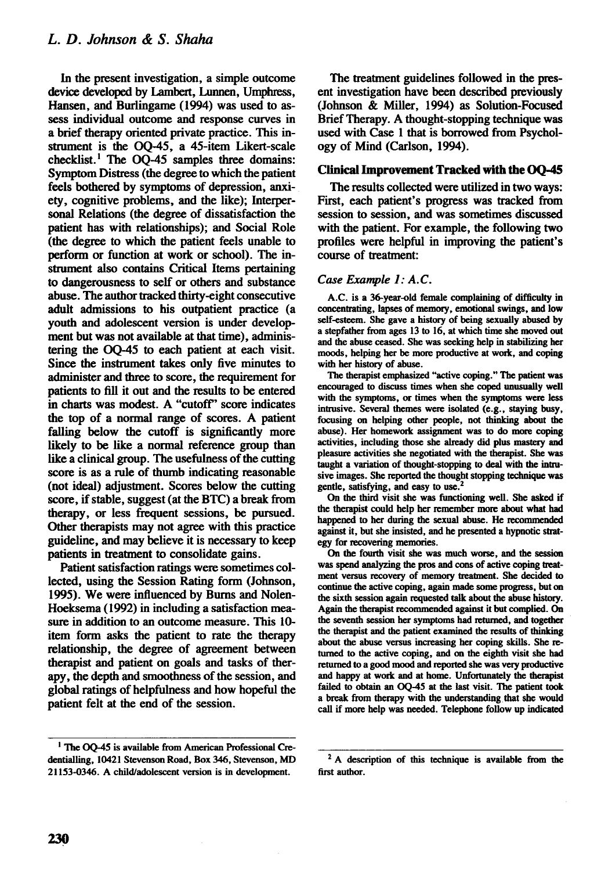In the present investigation, a simple outcome device developed by Lambert, Lunnen, Umphress, Hansen, and Burlingame (1994) was used to assess individual outcome and response curves in a brief therapy oriented private practice. This instrument is the OQ-45, a 45-item Likert-scale checklist.<sup>1</sup> The OQ-45 samples three domains: Symptom Distress (the degree to which the patient feels bothered by symptoms of depression, anxiety, cognitive problems, and the like); Interpersonal Relations (the degree of dissatisfaction the patient has with relationships); and Social Role (the degree to which the patient feels unable to perform or function at work or school). The instrument also contains Critical Items pertaining to dangerousness to self or others and substance abuse. The author tracked thirty-eight consecutive adult admissions to his outpatient practice (a youth and adolescent version is under development but was not available at that time), administering the OQ-45 to each patient at each visit. Since the instrument takes only five minutes to administer and three to score, the requirement for patients to fill it out and the results to be entered in charts was modest. A "cutoff' score indicates the top of a normal range of scores. A patient falling below the cutoff is significantly more likely to be like a normal reference group than like a clinical group. The usefulness of the cutting score is as a rule of thumb indicating reasonable (not ideal) adjustment. Scores below the cutting score, if stable, suggest (at the BTC) a break from therapy, or less frequent sessions, be pursued. Other therapists may not agree with this practice guideline, and may believe it is necessary to keep patients in treatment to consolidate gains.

Patient satisfaction ratings were sometimes collected, using the Session Rating form (Johnson, 1995). We were influenced by Burns and Nolen-Hoeksema (1992) in including a satisfaction measure in addition to an outcome measure. This 10 item form asks the patient to rate the therapy relationship, the degree of agreement between therapist and patient on goals and tasks of therapy, the depth and smoothness of the session, and global ratings of helpfulness and how hopeful the patient felt at the end of the session.

**1 The OQ-45 is available from American Professional Credentialling, 10421 Stevenson Road, Box 346, Stevenson, MD 21153-0346. A child/adolescent version is in development.**

The treatment guidelines followed in the present investigation have been described previously (Johnson & Miller, 1994) as Solution-Focused Brief Therapy. A thought-stopping technique was used with Case 1 that is borrowed from Psychology of Mind (Carlson, 1994).

## **Clinical Improvement Tracked with the OQ-45**

The results collected were utilized in two ways: First, each patient's progress was tracked from session to session, and was sometimes discussed with the patient. For example, the following two profiles were helpful in improving the patient's course of treatment:

### *Case Example 1: A.C.*

**A.C. is a 36-year-old female complaining of difficulty in concentrating, lapses of memory, emotional swings, and low self-esteem. She gave a history of being sexually abused by a stepfather from ages 13 to 16, at which time she moved out and the abuse ceased. She was seeking help in stabilizing her moods, helping her be more productive at work, and coping with her history of abuse.**

**The therapist emphasized "active coping." The patient was encouraged to discuss times when she coped unusually well with the symptoms, or times when the symptoms were less intrusive. Several themes were isolated (e.g., staying busy, focusing on helping other people, not thinking about the abuse). Her homework assignment was to do more coping activities, including those she already did plus mastery and pleasure activities she negotiated with the therapist. She was taught a variation of thought-stopping to deal with the intrusive images. She reported the thought stopping technique was gentle, satisfying, and easy to use.<sup>2</sup>**

**On the third visit she was functioning well. She asked if the therapist could help her remember more about what had happened to her during the sexual abuse. He recommended against it, but she insisted, and he presented a hypnotic strategy for recovering memories.**

**On the fourth visit she was much worse, and the session was spend analyzing the pros and cons of active coping treatment versus recovery of memory treatment. She decided to continue the active coping, again made some progress, but on the sixth session again requested talk about the abuse history. Again the therapist recommended against it but complied. On the seventh session her symptoms had returned, and together the therapist and the patient examined the results of thinking about the abuse versus increasing her coping skills. She returned to the active coping, and on the eighth visit she had returned to a good mood and reported she was very productive and happy at work and at home. Unfortunately the therapist failed to obtain an OQ-45 at the last visit. The patient took a break from therapy with the understanding that she would call if more help was needed. Telephone follow up indicated**

**<sup>2</sup> A description of this technique is available from the first author.**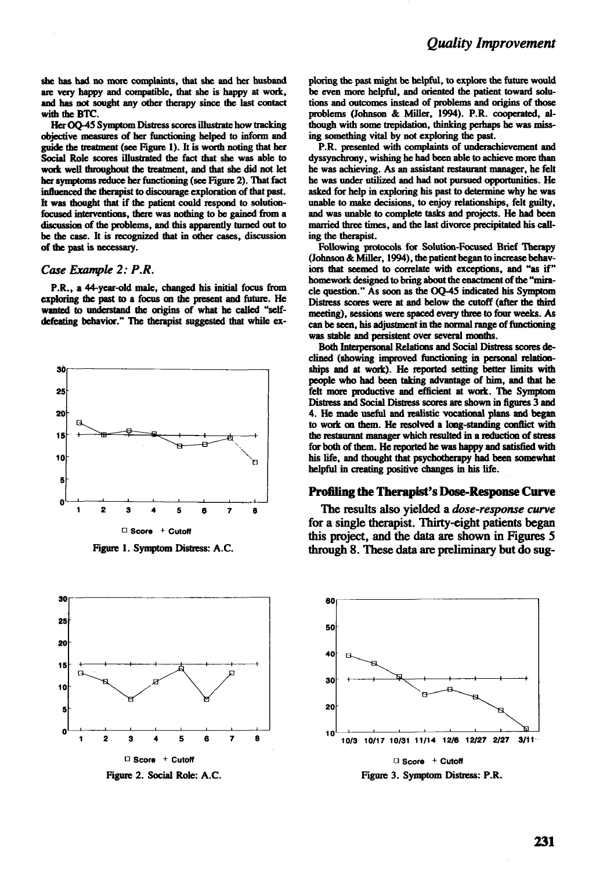**she has had no mote complaints, that she and her husband are very happy and compatible, that she is happy at work, and has not sought any other therapy since the last contact with the BTC.**

**Her OQ-45 Symptom Distress scores illustrate how tracking objective measures of her functioning helped to inform and guide the treatment (see Figure 1). It is worm noting that her Social Role scores illustrated the fact that she was able to work well throughout the treatment, and that she did not let her symptoms reduce her functioning (see Figure 2). That fact influenced the therapist to discourage exploration of that past. It was thought that if the patient could respond to solutionfocused interventions, there was nothing to be gained from a discussion of the problems, and this apparently turned out to be the case. It is recognized that in other cases, discussion of the past is necessary.**

#### *Case Example 2: P.R.*

**P.R., a 44-year-old male, changed his initial focus from exploring the past to a focus on die present and future. He wanted to understand the origins of what he called "selfdefeating behavior." The therapist suggested that while ex-**



**Figure 1. Symptom Distress: A.C.**



**Figure 2. Social Role: A.C.**

**ploring the past might be helpful, to explore the future would be even more helpful, and oriented the patient toward solutions and outcomes instead of problems and origins of those problems (Johnson & Miller, 1994). P.R. cooperated, although with some trepidation, thinking perhaps he was missing something vital by not exploring the past.**

**P.R. presented with complaints of underachievement and** dyssynchrony, wishing he had been able to achieve more than **he was achieving. As an assistant restaurant manager, he felt he was under utilized and had not pursued opportunities. He asked for help in exploring his past to determine why he was unable to make decisions, to enjoy relationships, felt guilty, and was unable to complete tasks and projects. He had been married three times, and the last divorce precipitated his calling the therapist.**

**Following protocols for Solution-Focused Brief Therapy (Johnson & Miller, 1994), the patient began to increase behaviors mat seemed to correlate with exceptions, and "as if" homework designed to bring about the enactment of the "miracle question." As soon as the OQ-45 indicated his Symptom Distress scores were at and below the cutoff (after the third meeting), sessions were spaced every three to four weeks. As can be seen, his adjustment in the normal range of functioning was stable and persistent over several months.**

**Both Interpersonal Relations and Social Distress scores declined (showing improved functioning in personal relationships and at work). He reported setting better limits with people who had been taking advantage of him, and that he felt more productive and efficient at work. The Symptom Distress and Social Distress scores are shown in figures 3 and 4. He made useful and realistic vocational plans and began to work on them. He resolved a long-standing conflict with the restaurant manager which resulted in a reduction of stress for both of them. He reported he was happy and satisfied with his life, and thought that psychotherapy had been somewhat helpful in creating positive changes in his life.**

#### **Profiling the Therapist's Dose-Response Curve**

The results also yielded a *dose-response curve* for a single therapist. Thirty-eight patients began this project, and the data are shown in Figures 5 through 8. These data are preliminary but do sug-



**Figure 3. Symptom Distress: P.R.**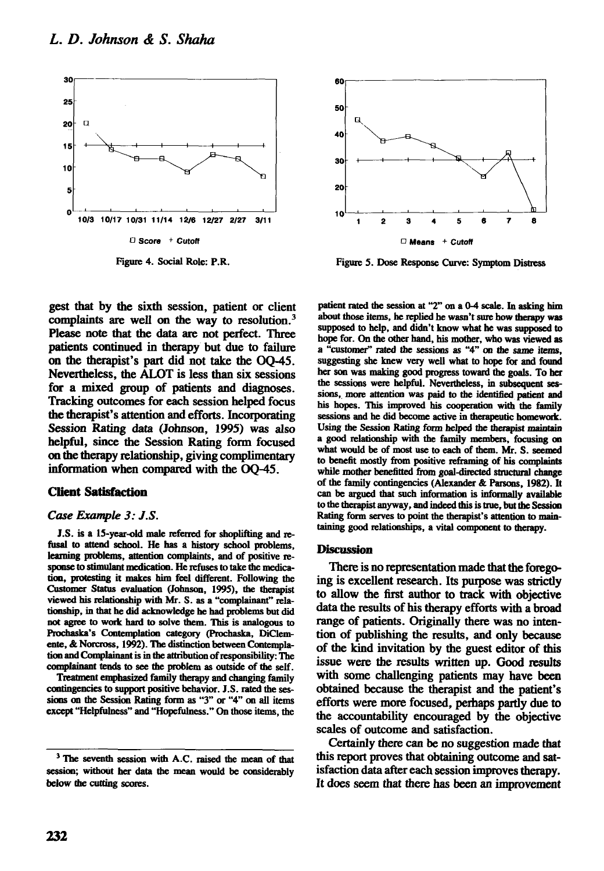

**Figure 4. Social Role: P.R.**

gest that by the sixth session, patient or client complaints are well on the way to resolution.<sup>3</sup> Please note that the data are not perfect. Three patients continued in therapy but due to failure on the therapist's part did not take the OQ-45. Nevertheless, the ALOT is less than six sessions for a mixed group of patients and diagnoses. Tracking outcomes for each session helped focus the therapist's attention and efforts. Incorporating Session Rating data (Johnson, 199S) was also helpful, since the Session Rating form focused on the therapy relationship, giving complimentary information when compared with the OQ-45.

### **Client Satisfaction**

#### *Case Example 3: J.S.*

**J.S. is a 15-year-old male referred for shoplifting and refusal to attend school. He has a history school problems, learning problems, attention complaints, and of positive response to stimulant medication. He refuses to take the medication, protesting it makes him feel different. Following the Customer Status evaluation (Johnson, 1995), the therapist viewed his relationship with Mr. S. as a "complainant" relationship, in that he did acknowledge he had problems but did not agree to work hard to solve them. This is analogous to Prochaska's Contemplation category (Prochaska, DiClemente, & Norcross, 1992). The distinction between Contemplation and Complainant is in the attribution of responsibility: The complainant tends to see the problem as outside of the self.**

**Treatment emphasized family therapy and changing family contingencies to support positive behavior. J.S. rated the sessions on the Session Rating form as "3" or "4" on all items except "Helpfulness" and "Hopefulness." On those items, the**



**Figure 5. Dose Response Curve: Symptom Distress**

**patient rated the session at "2" on a 0-4 scale. In asking him about those items, be replied he wasn't sure how therapy was supposed to help, and didn't know what he was supposed to hope for. On the other hand, his mother, who was viewed as a "customer" rated the sessions as "4" on the same items, suggesting she knew very well what to hope for and found her son was making good progress toward the goals. To her the sessions were helpful. Nevertheless, in subsequent sessions, more attention was paid to the identified patient and his hopes. This improved his cooperation with the family sessions and he did become active in therapeutic homework. Using the Session Rating form helped the therapist maintain a good relationship with the family members, focusing on what would be of most use to each of them. Mr. S. seemed to benefit mostly from positive refraining of his complaints while mother benefitted from goal-directed structural change of the family contingencies (Alexander & Parsons, 1982). It can be argued that such information is informally available to the therapist anyway, and indeed mis is true, but the Session Rating form serves to point the therapist's attention to maintaining good relationships, a vital component to therapy.**

#### **Discussion**

There is no representation made that the foregoing is excellent research. Its purpose was strictly to allow the first author to track with objective data the results of his therapy efforts with a broad range of patients. Originally there was no intention of publishing the results, and only because of the kind invitation by the guest editor of this issue were the results written up. Good results with some challenging patients may have been obtained because the therapist and the patient's efforts were more focused, perhaps partly due to the accountability encouraged by the objective scales of outcome and satisfaction.

Certainly there can be no suggestion made that this report proves that obtaining outcome and satisfaction data after each session improves therapy. It does seem that there has been an improvement

**<sup>3</sup> The seventh session with A.C. raised the mean of that session; without her data the mean would be considerably below the cutting scores.**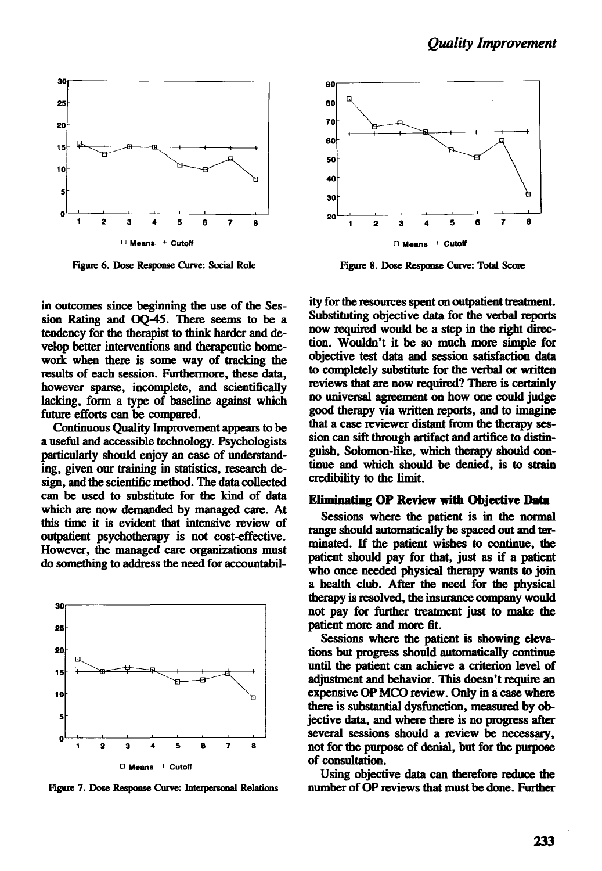

**Figure 6. Dose Response Curve: Social Role**

in outcomes since beginning the use of the Session Rating and OQ-45. There seems to be a tendency for the therapist to think harder and develop better interventions and therapeutic homework when there is some way of tracking the results of each session. Furthermore, these data, however sparse, incomplete, and scientifically lacking, form a type of baseline against which future efforts can be compared.

Continuous Quality Improvement appears to be a useful and accessible technology. Psychologists particularly should enjoy an ease of understanding, given our training in statistics, research design, and the scientific method. The data collected can be used to substitute for the kind of data which are now demanded by managed care. At this time it is evident that intensive review of outpatient psychotherapy is not cost-effective. However, the managed care organizations must do something to address the need for accountabil-



**Figure 7. Dose Response Curve: Interpersonal Relations**



**Figure 8. Dose Response Curve: Total Score**

ity for the resources spent on outpatient treatment. Substituting objective data for the verbal reports now required would be a step in the right direction. Wouldn't it be so much more simple for objective test data and session satisfaction data to completely substitute for the verbal or written reviews that are now required? There is certainly no universal agreement on how one could judge good therapy via written reports, and to imagine that a case reviewer distant from the therapy session can sift through artifact and artifice to distinguish, Solomon-like, which therapy should continue and which should be denied, is to strain credibility to the limit.

### **Eliminating OP Review with Objective Data**

Sessions where the patient is in the normal range should automatically be spaced out and terminated. If the patient wishes to continue, the patient should pay for that, just as if a patient who once needed physical therapy wants to join a health club. After the need for the physical therapy is resolved, the insurance company would not pay for further treatment just to make the patient more and more fit.

Sessions where the patient is showing elevations but progress should automatically continue until the patient can achieve a criterion level of adjustment and behavior. This doesn't require an expensive OP MCO review. Only in a case where there is substantial dysfunction, measured by objective data, and where there is no progress after several sessions should a review be necessary, not for the purpose of denial, but for the purpose of consultation.

Using objective data can therefore reduce the number of OP reviews that must be done. Further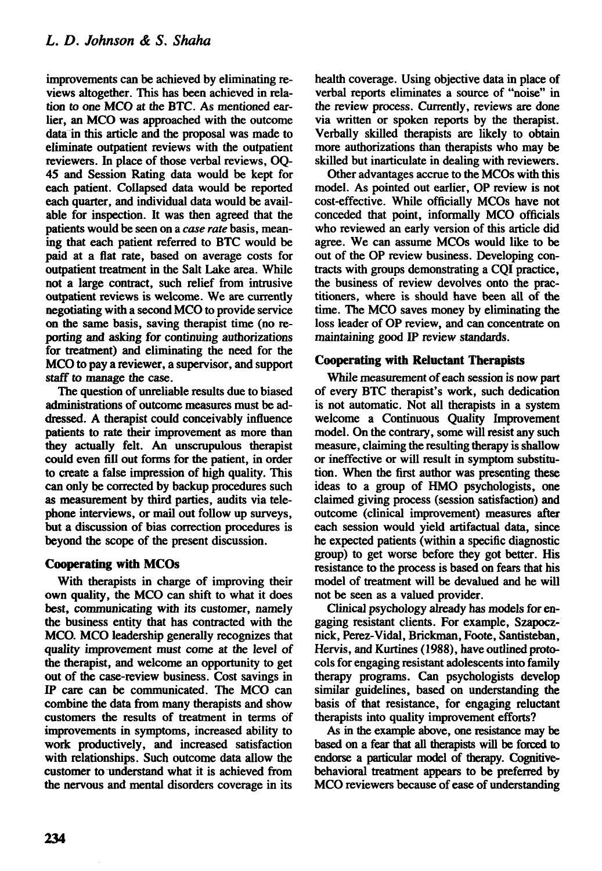improvements can be achieved by eliminating reviews altogether. This has been achieved in relation to one MCO at the BTC. As mentioned earlier, an MCO was approached with the outcome data in this article and the proposal was made to eliminate outpatient reviews with the outpatient reviewers. In place of those verbal reviews, OQ-45 and Session Rating data would be kept for each patient. Collapsed data would be reported each quarter, and individual data would be available for inspection. It was then agreed that the patients would be seen on a *case rate* basis, meaning that each patient referred to BTC would be paid at a flat rate, based on average costs for outpatient treatment in the Salt Lake area. While not a large contract, such relief from intrusive outpatient reviews is welcome. We are currently negotiating with a second MCO to provide service on the same basis, saving therapist time (no reporting and asking for continuing authorizations for treatment) and eliminating the need for the MCO to pay a reviewer, a supervisor, and support staff to manage the case.

The question of unreliable results due to biased administrations of outcome measures must be addressed. A therapist could conceivably influence patients to rate their improvement as more than they actually felt. An unscrupulous therapist could even fill out forms for the patient, in order to create a false impression of high quality. This can only be corrected by backup procedures such as measurement by third parties, audits via telephone interviews, or mail out follow up surveys, but a discussion of bias correction procedures is beyond the scope of the present discussion.

# **Cooperating with** MCOs

With therapists in charge of improving their own quality, the MCO can shift to what it does best, communicating with its customer, namely the business entity that has contracted with the MCO. MCO leadership generally recognizes that quality improvement must come at the level of the therapist, and welcome an opportunity to get out of the case-review business. Cost savings in IP care can be communicated. The MCO can combine the data from many therapists and show customers the results of treatment in terms of improvements in symptoms, increased ability to work productively, and increased satisfaction with relationships. Such outcome data allow the customer to understand what it is achieved from the nervous and mental disorders coverage in its

health coverage. Using objective data in place of verbal reports eliminates a source of "noise" in the review process. Currently, reviews are done via written or spoken reports by the therapist. Verbally skilled therapists are likely to obtain more authorizations than therapists who may be skilled but inarticulate in dealing with reviewers.

Other advantages accrue to the MCOs with this model. As pointed out earlier, OP review is not cost-effective. While officially MCOs have not conceded that point, informally MCO officials who reviewed an early version of this article did agree. We can assume MCOs would like to be out of the OP review business. Developing contracts with groups demonstrating a CQI practice, the business of review devolves onto the practitioners, where is should have been all of the time. The MCO saves money by eliminating the loss leader of OP review, and can concentrate on maintaining good IP review standards.

## **Cooperating with Reluctant Therapists**

While measurement of each session is now part of every BTC therapist's work, such dedication is not automatic. Not all therapists in a system welcome a Continuous Quality Improvement model. On the contrary, some will resist any such measure, claiming the resulting therapy is shallow or ineffective or will result in symptom substitution. When the first author was presenting these ideas to a group of HMO psychologists, one claimed giving process (session satisfaction) and outcome (clinical improvement) measures after each session would yield artifactual data, since he expected patients (within a specific diagnostic group) to get worse before they got better. His resistance to the process is based on fears that his model of treatment will be devalued and he will not be seen as a valued provider.

Clinical psychology already has models for engaging resistant clients. For example, Szapocznick, Perez-Vidal, Brickman, Foote, Santisteban, Hervis, and Kurtines (1988), have outlined protocols for engaging resistant adolescents into family therapy programs. Can psychologists develop similar guidelines, based on understanding the basis of that resistance, for engaging reluctant therapists into quality improvement efforts?

As in the example above, one resistance may be based on a fear that all therapists will be forced to endorse a particular model of therapy. Cognitivebehavioral treatment appears to be preferred by MCO reviewers because of ease of understanding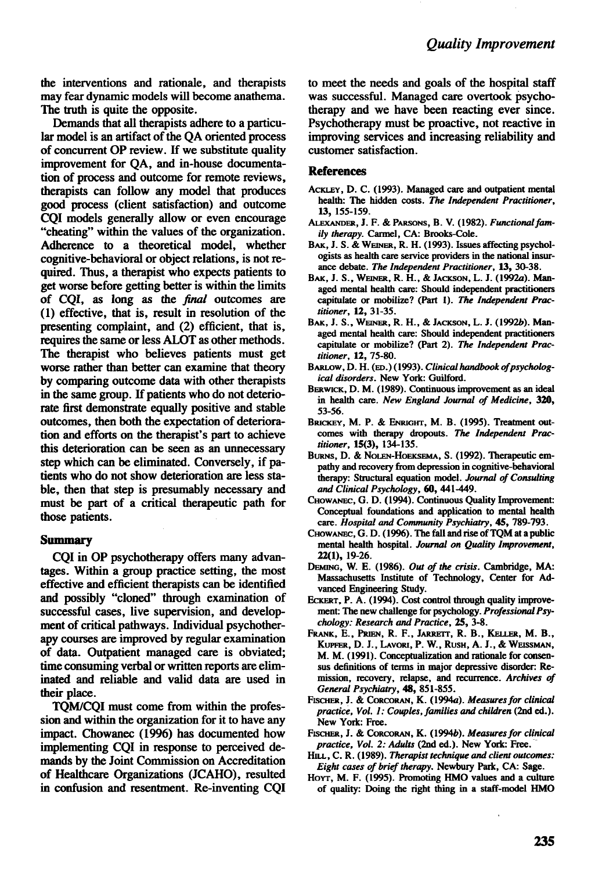the interventions and rationale, and therapists may fear dynamic models will become anathema. The truth is quite the opposite.

Demands that all therapists adhere to a particular model is an artifact of the QA oriented process of concurrent OP review. If we substitute quality improvement for QA, and in-house documentation of process and outcome for remote reviews, therapists can follow any model that produces good process (client satisfaction) and outcome **CQI** models generally allow or even encourage "cheating" within the values of the organization. Adherence to a theoretical model, whether cognitive-behavioral or object relations, is not required. Thus, a therapist who expects patients to get worse before getting better is within the limits of CQI, as long as the *final* outcomes are (1) effective, that is, result in resolution of the presenting complaint, and (2) efficient, that is, requires the same or less ALOT as other methods. The therapist who believes patients must get worse rather than better can examine that theory by comparing outcome data with other therapists in the same group. If patients who do not deteriorate first demonstrate equally positive and stable outcomes, then both the expectation of deterioration and efforts on the therapist's part to achieve this deterioration can be seen as an unnecessary step which can be eliminated. Conversely, if patients who do not show deterioration are less stable, then that step is presumably necessary and must be part of a critical therapeutic path for those patients.

### **Summary**

CQI in OP psychotherapy offers many advantages. Within a group practice setting, the most effective and efficient therapists can be identified and possibly "cloned" through examination of successful cases, live supervision, and development of critical pathways. Individual psychotherapy courses are improved by regular examination of data. Outpatient managed care is obviated; time consuming verbal or written reports are eliminated and reliable and valid data are used in their place.

**TQM/CQI** must come from within the profession and within the organization for it to have any impact. Chowanec (1996) has documented how implementing CQI in response to perceived demands by the Joint Commission on Accreditation of Healthcare Organizations (JCAHO), resulted in confusion and resentment. Re-inventing CQI to meet the needs and goals of the hospital staff was successful. Managed care overtook psychotherapy and we have been reacting ever since. Psychotherapy must be proactive, not reactive in improving services and increasing reliability and customer satisfaction.

#### **References**

- ACKLEY, D. C. (1993). Managed care and outpatient mental health: The hidden costs. *The Independent Practitioner,* **13,** 155-159.
- ALEXANDER, J. F. & PARSONS, B. V. (1982). *Functional family therapy.* Carmel, CA: Brooks-Cole.
- BAK, J. S. & WEINER, R. H. (1993). Issues affecting psychologists as health care service providers in the national insurance debate. *The Independent Practitioner,* 13, 30-38.
- BAK, J. S., WEINER, R. H., & JACKSON, L. J. (1992a). Managed mental health care: Should independent practitioners capitulate or mobilize? (Part 1). *The Independent Practitioner,* 12, 31-35.
- BAK, J. S., WEINER, R. H., & JACKSON, L. J. (1992b). Managed mental health care: Should independent practitioners capitulate or mobilize? (Part 2). *The Independent Practitioner,* 12, 75-80.
- BARLOW, D. H. (ED.) (1993). *Clinical handbook of psychological disorders.* New York: Guilford.
- BERWICK, D. M. (1989). Continuous improvement as an ideal in health care. *New England Journal of Medicine,* **320,** 53-56.
- BRICKEY, M. P. & ENRIGHT, M. B. (1995). Treatment outcomes with therapy dropouts. *The Independent Practitioner,* **15(3),** 134-135.
- BURNS, D. & NOLEN-HOEKSEMA, S. (1992). Therapeutic empathy and recovery from depression in cognitive-behavioral therapy: Structural equation model. *Journal of Consulting and Clinical Psychology,* 60, 441-449.
- CHOWANEC, G. D. (1994). Continuous Quality Improvement: Conceptual foundations and application to mental health care. *Hospital and Community Psychiatry,* 45, 789-793.
- CHOWANEC, G. D. (1996). The fall and rise of TQM at a public mental health hospital. *Journal on Quality Improvement,* **22(1),** 19-26.
- DEMING, W. E. (1986). *Out of the crisis.* Cambridge, MA: Massachusetts Institute of Technology, Center for Advanced Engineering Study.
- ECKERT, P. A. (1994). Cost control through quality improvement: The new challenge for psychology. *Professional Psychology: Research and Practice,* 25, 3-8.
- FRANK, E., PRIEN, R. F., JARRETT, R. B., KELLER, M. B., KUPFER, D. J., LAVORI, P. W., RUSH, A. J., & WEISSMAN, M. M. (1991). Conceptualization and rationale for consensus definitions of terms in major depressive disorder: Remission, recovery, relapse, and recurrence. *Archives of General Psychiatry,* 48, 851-855.
- FISCHER, J. & CORCORAN, K. (1994a). *Measures for clinical practice, Vol. 1: Couples, families and children* (2nd ed.). New York: Free.
- FISCHER, J. & CORCORAN, K. (1994b). *Measures for clinical practice, Vol. 2: Adults* (2nd ed.). New York: Free.
- HILL, C. R. (1989). *Therapist technique and client outcomes: Eight cases of brief therapy.* Newbury Park, CA: Sage.
- HOYT, M. F. (1995). Promoting **HMO** values and a culture of quality: Doing the right thing in a staff-model HMO